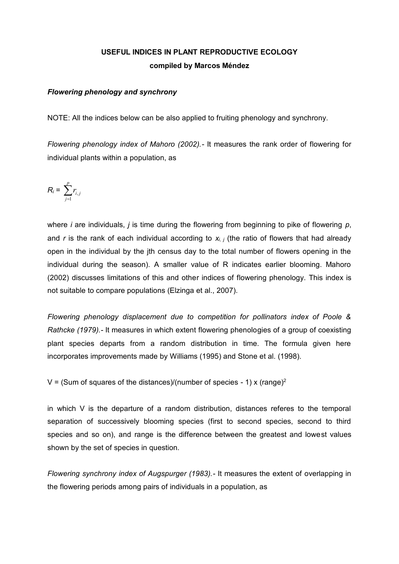# **USEFUL INDICES IN PLANT REPRODUCTIVE ECOLOGY compiled by Marcos Méndez**

# *Flowering phenology and synchrony*

NOTE: All the indices below can be also applied to fruiting phenology and synchrony.

*Flowering phenology index of Mahoro (2002).-* It measures the rank order of flowering for individual plants within a population, as

$$
R_i = \sum_{j=1}^p r_{i,j}
$$

where *i* are individuals, *j* is time during the flowering from beginning to pike of flowering *p*, and *r* is the rank of each individual according to *xi, j* (the ratio of flowers that had already open in the individual by the jth census day to the total number of flowers opening in the individual during the season). A smaller value of R indicates earlier blooming. Mahoro (2002) discusses limitations of this and other indices of flowering phenology. This index is not suitable to compare populations (Elzinga et al., 2007).

*Flowering phenology displacement due to competition for pollinators index of Poole & Rathcke (1979).-* It measures in which extent flowering phenologies of a group of coexisting plant species departs from a random distribution in time. The formula given here incorporates improvements made by Williams (1995) and Stone et al. (1998).

V = (Sum of squares of the distances)/(number of species - 1) x (range)<sup>2</sup>

in which V is the departure of a random distribution, distances referes to the temporal separation of successively blooming species (first to second species, second to third species and so on), and range is the difference between the greatest and lowest values shown by the set of species in question.

*Flowering synchrony index of Augspurger (1983).-* It measures the extent of overlapping in the flowering periods among pairs of individuals in a population, as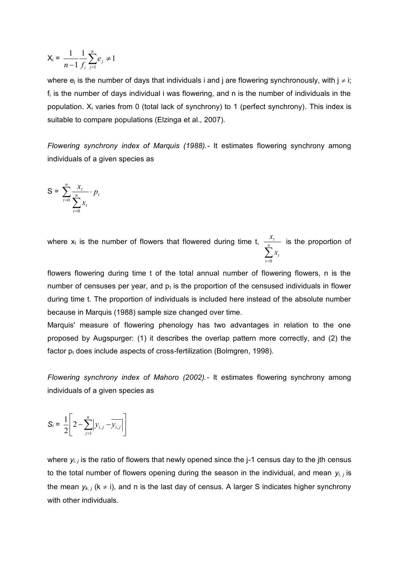$$
X_i = \frac{1}{n-1} \frac{1}{f_i} \sum_{j=1}^n e_j \neq 1
$$

where  $e_i$  is the number of days that individuals i and j are flowering synchronously, with  $j \neq i$ ;  $f_i$  is the number of days individual i was flowering, and n is the number of individuals in the population. X<sup>i</sup> varies from 0 (total lack of synchrony) to 1 (perfect synchrony). This index is suitable to compare populations (Elzinga et al., 2007).

*Flowering synchrony index of Marquis (1988).-* It estimates flowering synchrony among individuals of a given species as

$$
S = \sum_{t=0}^{n} \frac{x_t}{\sum_{t=0}^{n} x_t} \cdot p_t
$$

where  $x_t$  is the number of flowers that flowered during time t,  $\sum_{t=0}^{n}$ *t t t x*  $\frac{x_i}{x_i}$  is the proportion of 0

flowers flowering during time t of the total annual number of flowering flowers, n is the number of censuses per year, and  $p_t$  is the proportion of the censused individuals in flower during time t. The proportion of individuals is included here instead of the absolute number because in Marquis (1988) sample size changed over time.

Marquis' measure of flowering phenology has two advantages in relation to the one proposed by Augspurger: (1) it describes the overlap pattern more correctly, and (2) the factor  $p_t$  does include aspects of cross-fertilization (Bolmgren, 1998).

*Flowering synchrony index of Mahoro (2002).-* It estimates flowering synchrony among individuals of a given species as

$$
S_i = \frac{1}{2} \left[ 2 - \sum_{j=1}^n \left| y_{i,j} - \overline{y_{i,j}} \right| \right]
$$

where *yi, j* is the ratio of flowers that newly opened since the j-1 census day to the jth census to the total number of flowers opening during the season in the individual, and mean *yi, j* is the mean  $y_{k,i}$  ( $k \neq i$ ), and n is the last day of census. A larger S indicates higher synchrony with other individuals.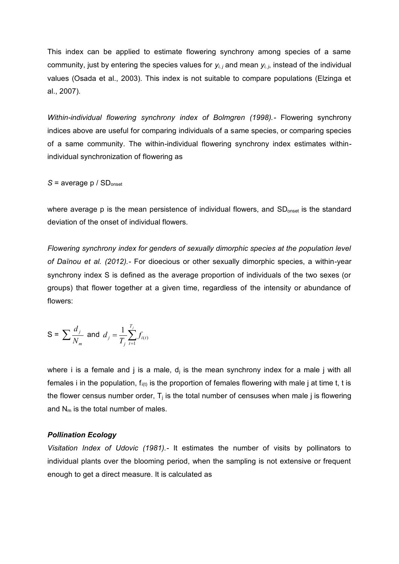This index can be applied to estimate flowering synchrony among species of a same community, just by entering the species values for *yi, j* and mean *yi, j*, instead of the individual values (Osada et al., 2003). This index is not suitable to compare populations (Elzinga et al., 2007).

*Within-individual flowering synchrony index of Bolmgren (1998).-* Flowering synchrony indices above are useful for comparing individuals of a same species, or comparing species of a same community. The within-individual flowering synchrony index estimates withinindividual synchronization of flowering as

$$
S = average p / SDonset
$$

where average p is the mean persistence of individual flowers, and SD<sub>onset</sub> is the standard deviation of the onset of individual flowers.

*Flowering synchrony index for genders of sexually dimorphic species at the population level of Daïnou et al. (2012).-* For dioecious or other sexually dimorphic species, a within-year synchrony index S is defined as the average proportion of individuals of the two sexes (or groups) that flower together at a given time, regardless of the intensity or abundance of flowers:

$$
S = \sum \frac{d_j}{N_m} \text{ and } d_j = \frac{1}{T_j} \sum_{t=1}^{T_j} f_{i(t)}
$$

where i is a female and j is a male,  $d_i$  is the mean synchrony index for a male j with all females i in the population,  $f_{i(t)}$  is the proportion of females flowering with male j at time t, t is the flower census number order,  $T_i$  is the total number of censuses when male j is flowering and  $N_m$  is the total number of males.

## *Pollination Ecology*

*Visitation Index of Udovic (1981).-* It estimates the number of visits by pollinators to individual plants over the blooming period, when the sampling is not extensive or frequent enough to get a direct measure. It is calculated as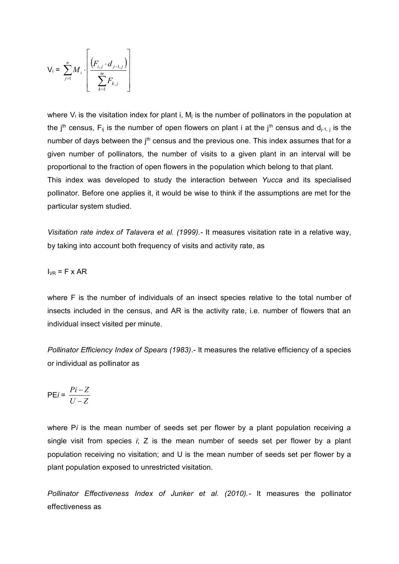$$
V_{i} = \sum_{j=1}^{n} M_{i} \cdot \left[ \frac{\left( F_{i,j} \cdot d_{j-1,j} \right)}{\sum_{k=1}^{m} F_{k,j}} \right]
$$

where  $V_i$  is the visitation index for plant i,  $M_i$  is the number of pollinators in the population at the j<sup>th</sup> census, F<sub>ij</sub> is the number of open flowers on plant i at the j<sup>th</sup> census and  $d_{i-1,j}$  is the number of days between the  $j<sup>th</sup>$  census and the previous one. This index assumes that for a given number of pollinators, the number of visits to a given plant in an interval will be proportional to the fraction of open flowers in the population which belong to that plant. This index was developed to study the interaction between *Yucca* and its specialised pollinator. Before one applies it, it would be wise to think if the assumptions are met for the particular system studied.

*Visitation rate index of Talavera et al. (1999).-* It measures visitation rate in a relative way, by taking into account both frequency of visits and activity rate, as

$$
I_{VR}
$$
 = F x AR

where F is the number of individuals of an insect species relative to the total number of insects included in the census, and AR is the activity rate, i.e. number of flowers that an individual insect visited per minute.

*Pollinator Efficiency Index of Spears (1983)*.- It measures the relative efficiency of a species or individual as pollinator as

$$
\mathsf{PE}i = \frac{Pi-Z}{U-Z}
$$

where P*i* is the mean number of seeds set per flower by a plant population receiving a single visit from species *i*; Z is the mean number of seeds set per flower by a plant population receiving no visitation; and U is the mean number of seeds set per flower by a plant population exposed to unrestricted visitation.

*Pollinator Effectiveness Index of Junker et al. (2010).-* It measures the pollinator effectiveness as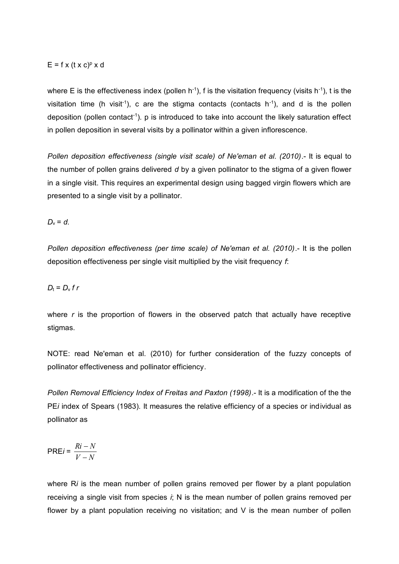# $E = f x (t x c)^p x d$

where E is the effectiveness index (pollen  $h^{-1}$ ), f is the visitation frequency (visits  $h^{-1}$ ), t is the visitation time (h visit<sup>-1</sup>), c are the stigma contacts (contacts  $h^{-1}$ ), and d is the pollen deposition (pollen contact<sup>-1</sup>). p is introduced to take into account the likely saturation effect in pollen deposition in several visits by a pollinator within a given inflorescence.

*Pollen deposition effectiveness (single visit scale) of Ne'eman et al. (2010)*.- It is equal to the number of pollen grains delivered *d* by a given pollinator to the stigma of a given flower in a single visit. This requires an experimental design using bagged virgin flowers which are presented to a single visit by a pollinator.

 $D_v = d$ .

*Pollen deposition effectiveness (per time scale) of Ne'eman et al. (2010)*.- It is the pollen deposition effectiveness per single visit multiplied by the visit frequency *f*:

# $D_t = D_v f r$

where *r* is the proportion of flowers in the observed patch that actually have receptive stigmas.

NOTE: read Ne'eman et al. (2010) for further consideration of the fuzzy concepts of pollinator effectiveness and pollinator efficiency.

*Pollen Removal Efficiency Index of Freitas and Paxton (1998)*.- It is a modification of the the PE*i* index of Spears (1983). It measures the relative efficiency of a species or individual as pollinator as

$$
PREi = \frac{Ri - N}{V - N}
$$

where R*i* is the mean number of pollen grains removed per flower by a plant population receiving a single visit from species *i*; N is the mean number of pollen grains removed per flower by a plant population receiving no visitation; and V is the mean number of pollen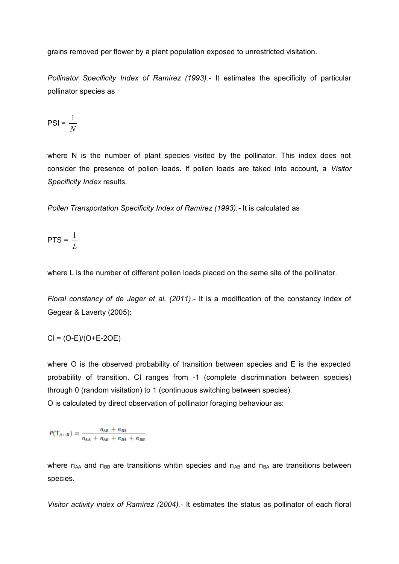grains removed per flower by a plant population exposed to unrestricted visitation.

*Pollinator Specificity Index of Ramírez (1993).-* It estimates the specificity of particular pollinator species as

$$
PSI = \frac{1}{N}
$$

where N is the number of plant species visited by the pollinator. This index does not consider the presence of pollen loads. If pollen loads are taked into account, a *Visitor Specificity Index* results.

*Pollen Transportation Specificity Index of Ramírez (1993).-* It is calculated as

$$
\mathsf{PTS} = \frac{1}{L}
$$

where L is the number of different pollen loads placed on the same site of the pollinator.

*Floral constancy of de Jager et al. (2011)*.- It is a modification of the constancy index of Gegear & Laverty (2005):

 $CI = (O-E)/(O+E-2OE)$ 

where O is the observed probability of transition between species and E is the expected probability of transition. CI ranges from -1 (complete discrimination between species) through 0 (random visitation) to 1 (continuous switching between species). O is calculated by direct observation of pollinator foraging behaviour as:

 $P(T_{A \leftrightarrow B}) = \frac{n_{AB} + n_{BA}}{n_{AA} + n_{AB} + n_{BA} + n_{BB}}.$ 

where  $n_{AA}$  and  $n_{BB}$  are transitions whitin species and  $n_{AB}$  and  $n_{BA}$  are transitions between species.

*Visitor activity index of Ramírez (2004).-* It estimates the status as pollinator of each floral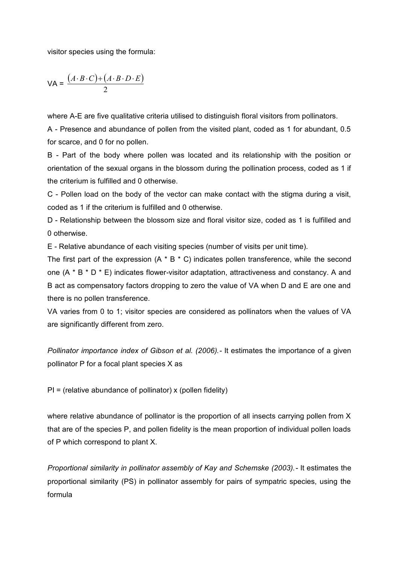visitor species using the formula:

$$
\mathsf{VA} = \frac{(A \cdot B \cdot C) + (A \cdot B \cdot D \cdot E)}{2}
$$

where A-E are five qualitative criteria utilised to distinguish floral visitors from pollinators.

A - Presence and abundance of pollen from the visited plant, coded as 1 for abundant, 0.5 for scarce, and 0 for no pollen.

B - Part of the body where pollen was located and its relationship with the position or orientation of the sexual organs in the blossom during the pollination process, coded as 1 if the criterium is fulfilled and 0 otherwise.

C - Pollen load on the body of the vector can make contact with the stigma during a visit, coded as 1 if the criterium is fulfilled and 0 otherwise.

D - Relationship between the blossom size and floral visitor size, coded as 1 is fulfilled and 0 otherwise.

E - Relative abundance of each visiting species (number of visits per unit time).

The first part of the expression  $(A * B * C)$  indicates pollen transference, while the second one (A \* B \* D \* E) indicates flower-visitor adaptation, attractiveness and constancy. A and B act as compensatory factors dropping to zero the value of VA when D and E are one and there is no pollen transference.

VA varies from 0 to 1; visitor species are considered as pollinators when the values of VA are significantly different from zero.

*Pollinator importance index of Gibson et al. (2006).-* It estimates the importance of a given pollinator P for a focal plant species X as

 $PI =$  (relative abundance of pollinator) x (pollen fidelity)

where relative abundance of pollinator is the proportion of all insects carrying pollen from X that are of the species P, and pollen fidelity is the mean proportion of individual pollen loads of P which correspond to plant X.

*Proportional similarity in pollinator assembly of Kay and Schemske (2003).-* It estimates the proportional similarity (PS) in pollinator assembly for pairs of sympatric species, using the formula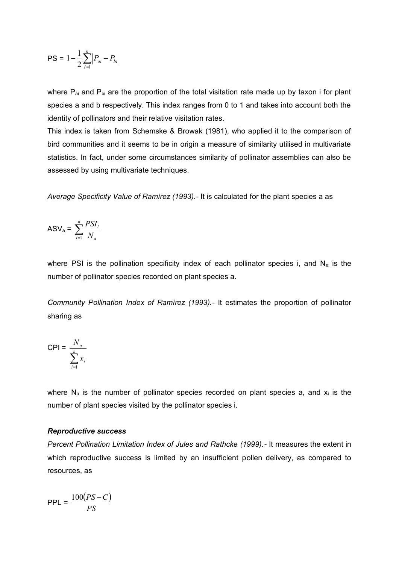$$
PS = 1 - \frac{1}{2} \sum_{I=1}^{n} \left| P_{ai} - P_{bi} \right|
$$

where  $P_{ai}$  and  $P_{bi}$  are the proportion of the total visitation rate made up by taxon i for plant species a and b respectively. This index ranges from 0 to 1 and takes into account both the identity of pollinators and their relative visitation rates.

This index is taken from Schemske & Browak (1981), who applied it to the comparison of bird communities and it seems to be in origin a measure of similarity utilised in multivariate statistics. In fact, under some circumstances similarity of pollinator assemblies can also be assessed by using multivariate techniques.

*Average Specificity Value of Ramírez (1993).-* It is calculated for the plant species a as

$$
ASV_a = \sum_{i=1}^{n} \frac{PSI_i}{N_a}
$$

where PSI is the pollination specificity index of each pollinator species i, and  $N_a$  is the number of pollinator species recorded on plant species a.

*Community Pollination Index of Ramírez (1993).-* It estimates the proportion of pollinator sharing as

$$
CPI = \frac{N_a}{\sum_{i=1}^{n} x_i}
$$

where  $N_a$  is the number of pollinator species recorded on plant species a, and  $x_i$  is the number of plant species visited by the pollinator species i.

#### *Reproductive success*

*Percent Pollination Limitation Index of Jules and Rathcke (1999).-* It measures the extent in which reproductive success is limited by an insufficient pollen delivery, as compared to resources, as

$$
\mathsf{PPL} = \frac{100(PS - C)}{PS}
$$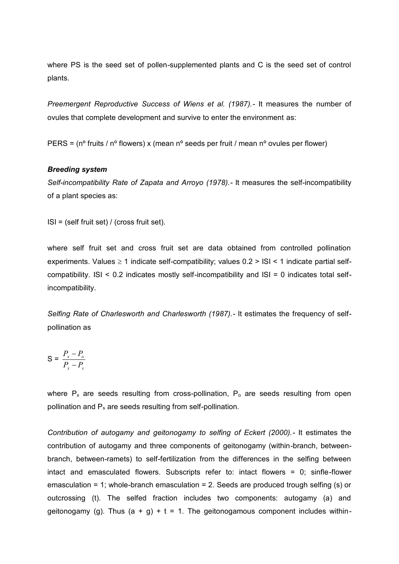where PS is the seed set of pollen-supplemented plants and C is the seed set of control plants.

*Preemergent Reproductive Success of Wiens et al. (1987).-* It measures the number of ovules that complete development and survive to enter the environment as:

PERS =  $(n^{\circ}$  fruits /  $n^{\circ}$  flowers) x (mean  $n^{\circ}$  seeds per fruit / mean  $n^{\circ}$  ovules per flower)

## *Breeding system*

*Self-incompatibility Rate of Zapata and Arroyo (1978).-* It measures the self-incompatibility of a plant species as:

ISI = (self fruit set) / (cross fruit set).

where self fruit set and cross fruit set are data obtained from controlled pollination experiments. Values  $\geq 1$  indicate self-compatibility; values  $0.2 > |S| < 1$  indicate partial selfcompatibility. ISI < 0.2 indicates mostly self-incompatibility and ISI = 0 indicates total selfincompatibility.

*Selfing Rate of Charlesworth and Charlesworth (1987).-* It estimates the frequency of selfpollination as

$$
S = \frac{P_x - P_o}{P_x - P_s}
$$

where  $P_x$  are seeds resulting from cross-pollination,  $P_0$  are seeds resulting from open pollination and  $P_s$  are seeds resulting from self-pollination.

*Contribution of autogamy and geitonogamy to selfing of Eckert (2000).-* It estimates the contribution of autogamy and three components of geitonogamy (within-branch, betweenbranch, between-ramets) to self-fertilization from the differences in the selfing between intact and emasculated flowers. Subscripts refer to: intact flowers = 0; sinfle-flower emasculation = 1; whole-branch emasculation = 2. Seeds are produced trough selfing (s) or outcrossing (t). The selfed fraction includes two components: autogamy (a) and geitonogamy (g). Thus  $(a + g) + t = 1$ . The geitonogamous component includes within-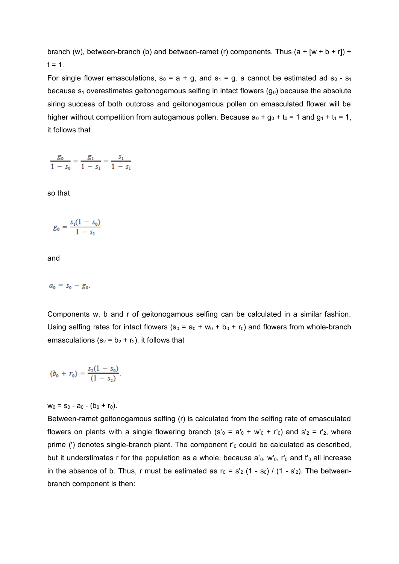branch (w), between-branch (b) and between-ramet (r) components. Thus  $(a + [w + b + r])$  +  $t = 1.$ 

For single flower emasculations,  $s_0 = a + g$ , and  $s_1 = g$ . a cannot be estimated ad  $s_0 - s_1$ because  $s_1$  overestimates geitonogamous selfing in intact flowers  $(g_0)$  because the absolute siring success of both outcross and geitonogamous pollen on emasculated flower will be higher without competition from autogamous pollen. Because  $a_0 + g_0 + t_0 = 1$  and  $g_1 + t_1 = 1$ , it follows that

 $\frac{g_0}{1 - s_0} = \frac{g_1}{1 - s_1} = \frac{s_1}{1 - s_1}$ 

so that

$$
g_0 = \frac{s_1(1-s_0)}{1-s_1}
$$

and

 $a_0 = s_0 - g_0$ .

Components w, b and r of geitonogamous selfing can be calculated in a similar fashion. Using selfing rates for intact flowers ( $s_0 = a_0 + w_0 + b_0 + r_0$ ) and flowers from whole-branch emasculations ( $s_2 = b_2 + r_2$ ), it follows that

$$
(b_0 + r_0) = \frac{s_2(1 - s_0)}{(1 - s_2)}.
$$

 $w_0 = s_0 - a_0 - (b_0 + r_0)$ .

Between-ramet geitonogamous selfing (r) is calculated from the selfing rate of emasculated flowers on plants with a single flowering branch (s'<sub>0</sub> = a'<sub>0</sub> + w'<sub>0</sub> + r'<sub>0</sub>) and s'<sub>2</sub> = r'<sub>2</sub>, where prime (') denotes single-branch plant. The component  $r_0$  could be calculated as described, but it understimates r for the population as a whole, because  $a'_0$ , w'<sub>0</sub>, r'<sub>0</sub> and t'<sub>0</sub> all increase in the absence of b. Thus, r must be estimated as  $r_0 = s'_2$  (1 - s<sub>0</sub>) / (1 - s'<sub>2</sub>). The betweenbranch component is then: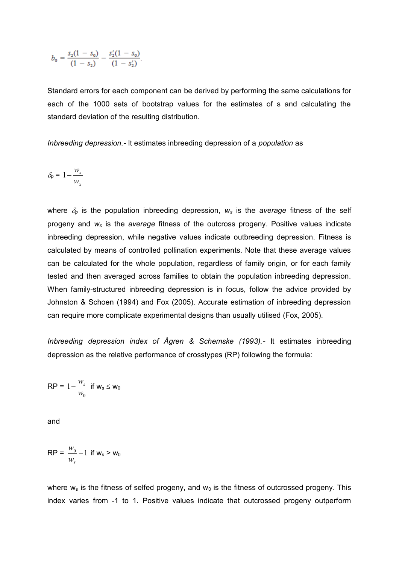$$
b_0 = \frac{s_2(1-s_0)}{(1-s_2)} - \frac{s'_2(1-s_0)}{(1-s'_2)}.
$$

Standard errors for each component can be derived by performing the same calculations for each of the 1000 sets of bootstrap values for the estimates of s and calculating the standard deviation of the resulting distribution.

*Inbreeding depression.-* It estimates inbreeding depression of a *population* as

$$
\delta_{p} = 1 - \frac{w_{s}}{w_{x}}
$$

where  $\delta_p$  is the population inbreeding depression,  $w_s$  is the *average* fitness of the self progeny and *w<sup>x</sup>* is the *average* fitness of the outcross progeny. Positive values indicate inbreeding depression, while negative values indicate outbreeding depression. Fitness is calculated by means of controlled pollination experiments. Note that these average values can be calculated for the whole population, regardless of family origin, or for each family tested and then averaged across families to obtain the population inbreeding depression. When family-structured inbreeding depression is in focus, follow the advice provided by Johnston & Schoen (1994) and Fox (2005). Accurate estimation of inbreeding depression can require more complicate experimental designs than usually utilised (Fox, 2005).

*Inbreeding depression index of Ågren & Schemske (1993).-* It estimates inbreeding depression as the relative performance of crosstypes (RP) following the formula:

$$
RP = 1 - \frac{w_s}{w_0} \text{ if } w_s \leq w_0
$$

and

$$
\mathsf{RP} = \frac{w_0}{w_s} - 1 \text{ if } \mathsf{w}_s > \mathsf{w}_0
$$

where  $w_s$  is the fitness of selfed progeny, and  $w_0$  is the fitness of outcrossed progeny. This index varies from -1 to 1. Positive values indicate that outcrossed progeny outperform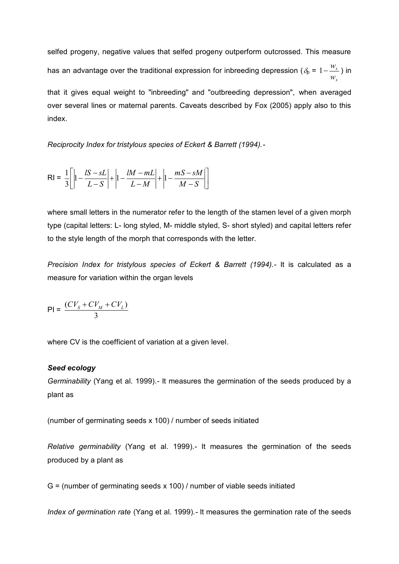selfed progeny, negative values that selfed progeny outperform outcrossed. This measure has an advantage over the traditional expression for inbreeding depression ( $\delta_p$  = *x s w*  $1-\frac{w_s}{\sqrt{2}}$ ) in that it gives equal weight to "inbreeding" and "outbreeding depression", when averaged over several lines or maternal parents. Caveats described by Fox (2005) apply also to this index.

*Reciprocity Index for tristylous species of Eckert & Barrett (1994).-*

$$
RI = \frac{1}{3} \left[ \left| 1 - \frac{lS - sL}{L - S} \right| + \left| 1 - \frac{lM - mL}{L - M} \right| + \left| 1 - \frac{mS - sM}{M - S} \right| \right]
$$

where small letters in the numerator refer to the length of the stamen level of a given morph type (capital letters: L- long styled, M- middle styled, S- short styled) and capital letters refer to the style length of the morph that corresponds with the letter.

*Precision Index for tristylous species of Eckert & Barrett (1994).-* It is calculated as a measure for variation within the organ levels

$$
PI = \frac{(CV_s + CV_M + CV_L)}{3}
$$

where CV is the coefficient of variation at a given level.

#### *Seed ecology*

*Germinability* (Yang et al. 1999)*.-* It measures the germination of the seeds produced by a plant as

(number of germinating seeds x 100) / number of seeds initiated

*Relative germinability* (Yang et al. 1999)*.-* It measures the germination of the seeds produced by a plant as

G = (number of germinating seeds x 100) / number of viable seeds initiated

*Index of germination rate* (Yang et al. 1999)*.-* It measures the germination rate of the seeds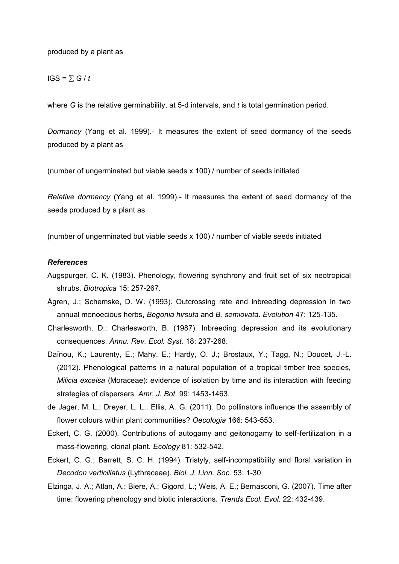#### produced by a plant as

## $IGS = \sum G / t$

where *G* is the relative germinability, at 5-d intervals, and *t* is total germination period.

*Dormancy* (Yang et al. 1999)*.-* It measures the extent of seed dormancy of the seeds produced by a plant as

(number of ungerminated but viable seeds x 100) / number of seeds initiated

*Relative dormancy* (Yang et al. 1999)*.-* It measures the extent of seed dormancy of the seeds produced by a plant as

(number of ungerminated but viable seeds x 100) / number of viable seeds initiated

## *References*

- Augspurger, C. K. (1983). Phenology, flowering synchrony and fruit set of six neotropical shrubs. *Biotropica* 15: 257-267.
- Ågren, J.; Schemske, D. W. (1993). Outcrossing rate and inbreeding depression in two annual monoecious herbs, *Begonia hirsuta* and *B. semiovata*. *Evolution* 47: 125-135.
- Charlesworth, D.; Charlesworth, B. (1987). Inbreeding depression and its evolutionary consequences. *Annu. Rev. Ecol. Syst.* 18: 237-268.
- Daïnou, K.; Laurenty, E.; Mahy, E.; Hardy, O. J.; Brostaux, Y.; Tagg, N.; Doucet, J.-L. (2012). Phenological patterns in a natural population of a tropical timber tree species, *Milicia excelsa* (Moraceae): evidence of isolation by time and its interaction with feeding strategies of dispersers. *Amr. J. Bot.* 99: 1453-1463.
- de Jager, M. L.; Dreyer, L. L.; Ellis, A. G. (2011). Do pollinators influence the assembly of flower colours within plant communities? *Oecologia* 166: 543-553.
- Eckert, C. G. (2000). Contributions of autogamy and geitonogamy to self-fertilization in a mass-flowering, clonal plant. *Ecology* 81: 532-542.
- Eckert, C. G.; Barrett, S. C. H. (1994). Tristyly, self-incompatibility and floral variation in *Decodon verticillatus* (Lythraceae). *Biol. J. Linn. Soc.* 53: 1-30.
- Elzinga, J. A.; Atlan, A.; Biere, A.; Gigord, L.; Weis, A. E.; Bernasconi, G. (2007). Time after time: flowering phenology and biotic interactions. *Trends Ecol. Evol.* 22: 432-439.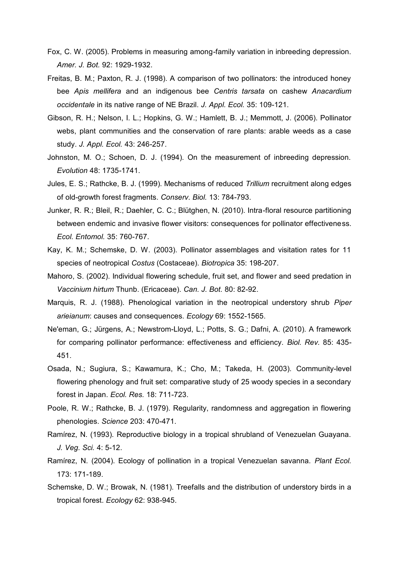- Fox, C. W. (2005). Problems in measuring among-family variation in inbreeding depression. *Amer. J. Bot.* 92: 1929-1932.
- Freitas, B. M.; Paxton, R. J. (1998). A comparison of two pollinators: the introduced honey bee *Apis mellifera* and an indigenous bee *Centris tarsata* on cashew *Anacardium occidentale* in its native range of NE Brazil. *J. Appl. Ecol.* 35: 109-121.
- Gibson, R. H.; Nelson, I. L.; Hopkins, G. W.; Hamlett, B. J.; Memmott, J. (2006). Pollinator webs, plant communities and the conservation of rare plants: arable weeds as a case study. *J. Appl. Ecol.* 43: 246-257.
- Johnston, M. O.; Schoen, D. J. (1994). On the measurement of inbreeding depression. *Evolution* 48: 1735-1741.
- Jules, E. S.; Rathcke, B. J. (1999). Mechanisms of reduced *Trillium* recruitment along edges of old-growth forest fragments. *Conserv. Biol.* 13: 784-793.
- Junker, R. R.; Bleil, R.; Daehler, C. C.; Blütghen, N. (2010). Intra-floral resource partitioning between endemic and invasive flower visitors: consequences for pollinator effectiveness. *Ecol. Entomol.* 35: 760-767.
- Kay, K. M.; Schemske, D. W. (2003). Pollinator assemblages and visitation rates for 11 species of neotropical *Costus* (Costaceae). *Biotropica* 35: 198-207.
- Mahoro, S. (2002). Individual flowering schedule, fruit set, and flower and seed predation in *Vaccinium hirtum* Thunb. (Ericaceae). *Can. J. Bot.* 80: 82-92.
- Marquis, R. J. (1988). Phenological variation in the neotropical understory shrub *Piper arieianum*: causes and consequences. *Ecology* 69: 1552-1565.
- Ne'eman, G.; Jürgens, A.; Newstrom-Lloyd, L.; Potts, S. G.; Dafni, A. (2010). A framework for comparing pollinator performance: effectiveness and efficiency. *Biol. Rev.* 85: 435- 451.
- Osada, N.; Sugiura, S.; Kawamura, K.; Cho, M.; Takeda, H. (2003). Community-level flowering phenology and fruit set: comparative study of 25 woody species in a secondary forest in Japan. *Ecol. Res.* 18: 711-723.
- Poole, R. W.; Rathcke, B. J. (1979). Regularity, randomness and aggregation in flowering phenologies. *Science* 203: 470-471.
- Ramírez, N. (1993). Reproductive biology in a tropical shrubland of Venezuelan Guayana. *J. Veg. Sci.* 4: 5-12.
- Ramírez, N. (2004). Ecology of pollination in a tropical Venezuelan savanna. *Plant Ecol.* 173: 171-189.
- Schemske, D. W.; Browak, N. (1981). Treefalls and the distribution of understory birds in a tropical forest. *Ecology* 62: 938-945.